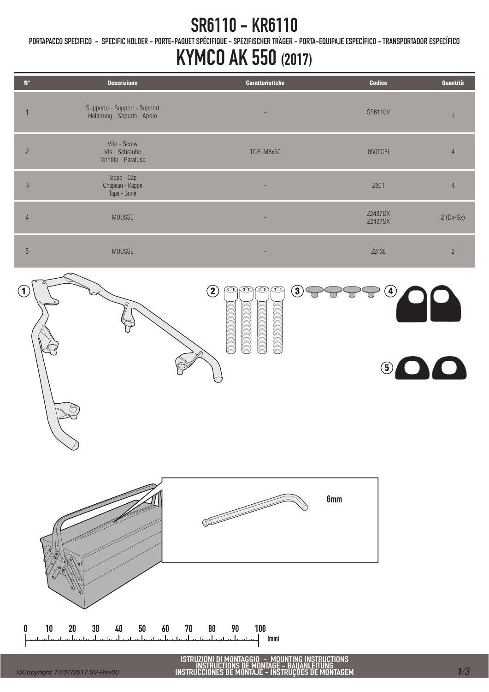### SR6110 - KR6110

PORTAPACCO SPECIFICO - SPECIFIC HOLDER - PORTE-PAQUET SPÉCIFIQUE - SPEZIFISCHER TRÄGER - PORTA-EQUIPAJE ESPECÍFICO - TRANSPORTADOR ESPECÍFICO

## KYMCO AK 550 (2017)

| <b>SR6110V</b><br>$\mathbf{1}$                 |
|------------------------------------------------|
|                                                |
| 850TCEI<br>$\overline{4}$                      |
| Z801<br>$\overline{4}$                         |
| Z2437DX<br>$2(Dx-Sx)$<br>Z2437SX               |
| Z2438<br>$\sqrt{2}$                            |
| $\ddot{ }$<br>$\bullet$ y $\bullet$<br>$\odot$ |
|                                                |
|                                                |

INSTRUCTIONS DE MONTAGE - BAUANLEITUNG INSTRUCCIONES DE MONTAJE - INSTRUÇÕES DE MONTAGEM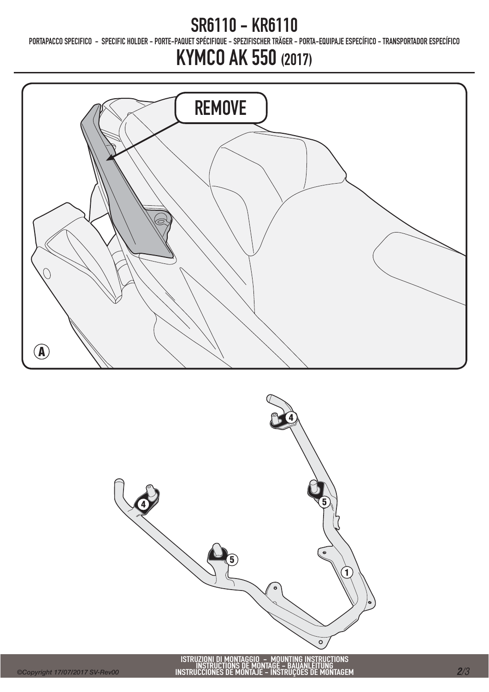### SR6110 - KR6110

PORTAPACCO SPECIFICO - SPECIFIC HOLDER - PORTE-PAQUET SPÉCIFIQUE - SPEZIFISCHER TRÄGER - PORTA-EQUIPAJE ESPECÍFICO - TRANSPORTADOR ESPECÍFICO

# KYMCO AK 550 (2017)